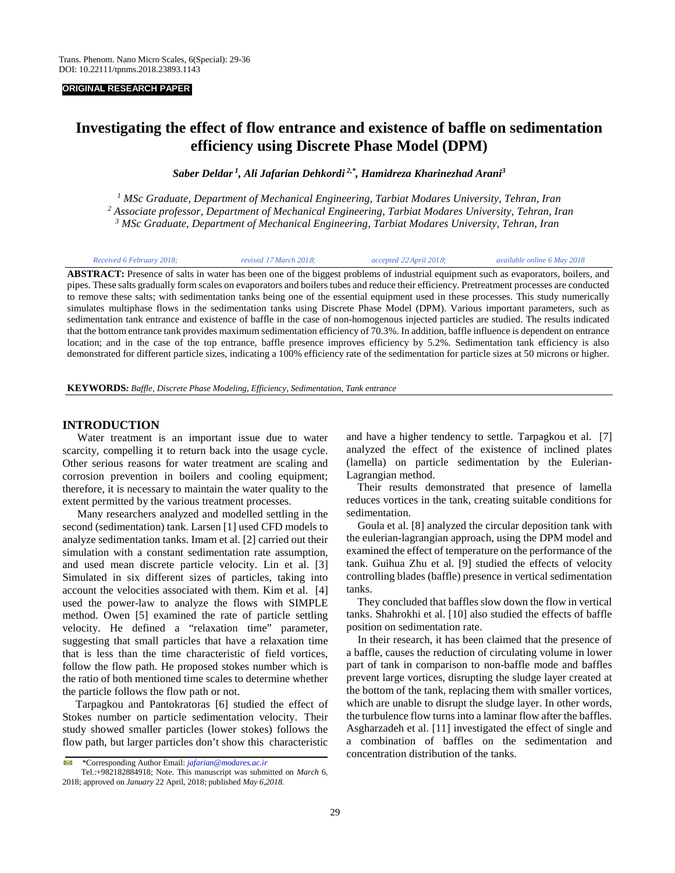#### **ORIGINAL RESEARCH PAPER**

# **Investigating the effect of flow entrance and existence of baffle on sedimentation efficiency using Discrete Phase Model (DPM)**

*Saber Deldar <sup>1</sup> , Ali Jafarian Dehkordi 2,\*, [Hamidreza Kharinezhad Arani3](https://www.researchgate.net/profile/Hamidreza_Kharinezhad_Arani)*

*<sup>1</sup> MSc Graduate, Department of Mechanical Engineering, Tarbiat Modares University, Tehran, Iran <sup>2</sup> Associate professor, Department of Mechanical Engineering, Tarbiat Modares University, Tehran, Iran <sup>3</sup> MSc Graduate*, *Department of Mechanical Engineering, Tarbiat Modares University, Tehran, Iran*

| Received 6 February 2018;                                                                                                                  | revised 17 March 2018: | accepted 22 April 2018; | available online 6 May 2018 |
|--------------------------------------------------------------------------------------------------------------------------------------------|------------------------|-------------------------|-----------------------------|
| <b>ABSTRACT:</b> Presence of salts in water has been one of the biggest problems of industrial equipment such as evaporators, boilers, and |                        |                         |                             |

pipes. These salts gradually form scales on evaporators and boilers tubes and reduce their efficiency. Pretreatment processes are conducted to remove these salts; with sedimentation tanks being one of the essential equipment used in these processes. This study numerically simulates multiphase flows in the sedimentation tanks using Discrete Phase Model (DPM). Various important parameters, such as sedimentation tank entrance and existence of baffle in the case of non-homogenous injected particles are studied. The results indicated that the bottom entrance tank provides maximum sedimentation efficiency of 70.3%. In addition, baffle influence is dependent on entrance location; and in the case of the top entrance, baffle presence improves efficiency by 5.2%. Sedimentation tank efficiency is also demonstrated for different particle sizes, indicating a 100% efficiency rate of the sedimentation for particle sizes at 50 microns or higher.

**KEYWORDS***: Baffle, Discrete Phase Modeling, Efficiency, Sedimentation, Tank entrance* 

# **INTRODUCTION**

Water treatment is an important issue due to water scarcity, compelling it to return back into the usage cycle. Other serious reasons for water treatment are scaling and corrosion prevention in boilers and cooling equipment; therefore, it is necessary to maintain the water quality to the extent permitted by the various treatment processes.

Many researchers analyzed and modelled settling in the second (sedimentation) tank. Larsen [1] used CFD models to analyze sedimentation tanks. Imam et al. [2] carried out their simulation with a constant sedimentation rate assumption, and used mean discrete particle velocity. Lin et al. [3] Simulated in six different sizes of particles, taking into account the velocities associated with them. Kim et al. [4] used the power-law to analyze the flows with SIMPLE method. Owen [5] examined the rate of particle settling velocity. He defined a "relaxation time" parameter, suggesting that small particles that have a relaxation time that is less than the time characteristic of field vortices, follow the flow path. He proposed stokes number which is the ratio of both mentioned time scales to determine whether the particle follows the flow path or not.

 Tarpagkou and Pantokratoras [6] studied the effect of Stokes number on particle sedimentation velocity. Their study showed smaller particles (lower stokes) follows the flow path, but larger particles don't show this characteristic

and have a higher tendency to settle. Tarpagkou et al. [7] analyzed the effect of the existence of inclined plates (lamella) on particle sedimentation by the Eulerian-Lagrangian method.

 Their results demonstrated that presence of lamella reduces vortices in the tank, creating suitable conditions for sedimentation.

 Goula et al. [8] analyzed the circular deposition tank with the eulerian-lagrangian approach, using the DPM model and examined the effect of temperature on the performance of the tank. Guihua Zhu et al. [9] studied the effects of velocity controlling blades (baffle) presence in vertical sedimentation tanks.

 They concluded that baffles slow down the flow in vertical tanks. Shahrokhi et al. [10] also studied the effects of baffle position on sedimentation rate.

 In their research, it has been claimed that the presence of a baffle, causes the reduction of circulating volume in lower part of tank in comparison to non-baffle mode and baffles prevent large vortices, disrupting the sludge layer created at the bottom of the tank, replacing them with smaller vortices, which are unable to disrupt the sludge layer. In other words, the turbulence flow turns into a laminar flow after the baffles. Asgharzadeh et al. [11] investigated the effect of single and a combination of baffles on the sedimentation and concentration distribution of the tanks.

<sup>\*</sup>Corresponding Author Email: *jafarian@modares.ac.ir*

Tel.:+982182884918; Note. This manuscript was submitted on *March* 6, 2018; approved on *January* 22 April, 2018; published *May 6,2018.*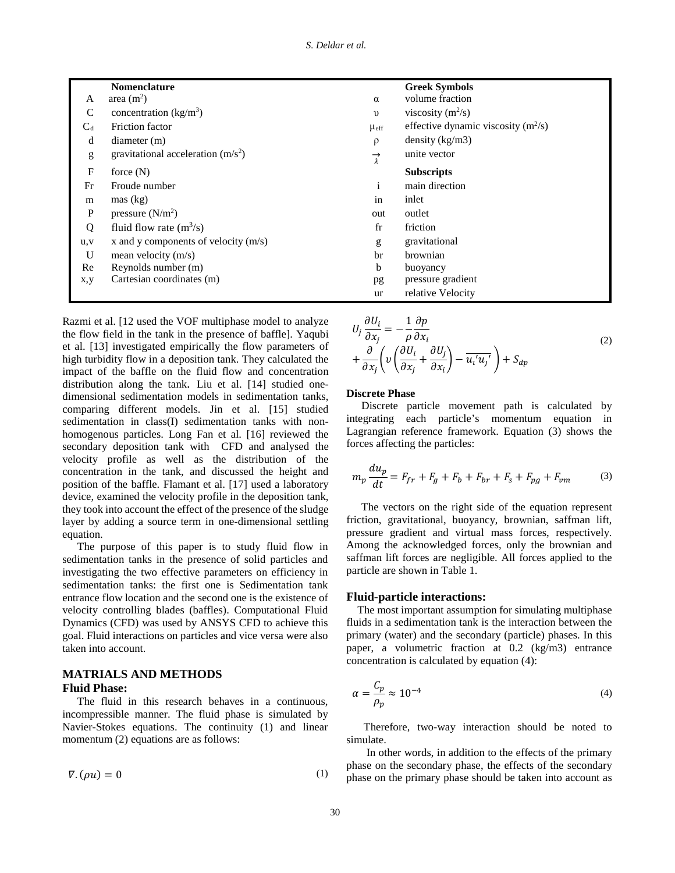|               | <b>Nomenclature</b>                    |                            | <b>Greek Symbols</b>                  |
|---------------|----------------------------------------|----------------------------|---------------------------------------|
| A             | area $(m2)$                            | $\alpha$                   | volume fraction                       |
| $\mathcal{C}$ | concentration $(kg/m3)$                | $\upsilon$                 | viscosity $(m^2/s)$                   |
| $C_d$         | Friction factor                        | $\mu_{\text{eff}}$         | effective dynamic viscosity $(m^2/s)$ |
| d             | diameter(m)                            | $\rho$                     | density (kg/m3)                       |
| g             | gravitational acceleration $(m/s2)$    | $\overrightarrow{\lambda}$ | unite vector                          |
| $\mathbf F$   | force $(N)$                            |                            | <b>Subscripts</b>                     |
| Fr            | Froude number                          | $\mathbf{i}$               | main direction                        |
| m             | $\text{mas}$ (kg)                      | in                         | inlet                                 |
| $\mathbf{P}$  | pressure $(N/m2)$                      | out                        | outlet                                |
| Q             | fluid flow rate $(m^3/s)$              | $_{\rm fr}$                | friction                              |
| u, v          | x and y components of velocity $(m/s)$ | g                          | gravitational                         |
| U             | mean velocity $(m/s)$                  | br                         | <b>brownian</b>                       |
| Re            | Reynolds number (m)                    | b                          | buoyancy                              |
| x,y           | Cartesian coordinates (m)              | pg                         | pressure gradient                     |
|               |                                        | ur                         | relative Velocity                     |

Razmi et al. [12 used the VOF multiphase model to analyze the flow field in the tank in the presence of baffle]. Yaqubi et al. [13] investigated empirically the flow parameters of high turbidity flow in a deposition tank. They calculated the impact of the baffle on the fluid flow and concentration distribution along the tank. Liu et al. [14] studied onedimensional sedimentation models in sedimentation tanks, comparing different models. Jin et al. [15] studied sedimentation in class(I) sedimentation tanks with nonhomogenous particles. Long Fan et al. [16] reviewed the secondary deposition tank with CFD and analysed the velocity profile as well as the distribution of the concentration in the tank, and discussed the height and position of the baffle. Flamant et al. [17] used a laboratory device, examined the velocity profile in the deposition tank, they took into account the effect of the presence of the sludge layer by adding a source term in one-dimensional settling equation.

The purpose of this paper is to study fluid flow in sedimentation tanks in the presence of solid particles and investigating the two effective parameters on efficiency in sedimentation tanks: the first one is Sedimentation tank entrance flow location and the second one is the existence of velocity controlling blades (baffles). Computational Fluid Dynamics (CFD) was used by ANSYS CFD to achieve this goal. Fluid interactions on particles and vice versa were also taken into account.

# **MATRIALS AND METHODS**

# **Fluid Phase:**

The fluid in this research behaves in a continuous, incompressible manner. The fluid phase is simulated by Navier-Stokes equations. The continuity (1) and linear momentum (2) equations are as follows:

$$
\nabla.(\rho u) = 0 \tag{1}
$$

$$
U_j \frac{\partial U_i}{\partial x_j} = -\frac{1}{\rho} \frac{\partial p}{\partial x_i} + \frac{\partial}{\partial x_j} \left( v \left( \frac{\partial U_i}{\partial x_j} + \frac{\partial U_j}{\partial x_i} \right) - \overline{u_i' u_j'} \right) + S_{dp}
$$
 (2)

# **Discrete Phase**

Discrete particle movement path is calculated by integrating each particle's momentum equation in Lagrangian reference framework. Equation (3) shows the forces affecting the particles:

$$
m_p \frac{du_p}{dt} = F_{fr} + F_g + F_b + F_{br} + F_s + F_{pg} + F_{vm}
$$
 (3)

The vectors on the right side of the equation represent friction, gravitational, buoyancy, brownian, saffman lift, pressure gradient and virtual mass forces, respectively. Among the acknowledged forces, only the brownian and saffman lift forces are negligible. All forces applied to the particle are shown in Table 1.

#### **Fluid-particle interactions:**

 The most important assumption for simulating multiphase fluids in a sedimentation tank is the interaction between the primary (water) and the secondary (particle) phases. In this paper, a volumetric fraction at 0.2 (kg/m3) entrance concentration is calculated by equation (4):

$$
\alpha = \frac{C_p}{\rho_p} \approx 10^{-4} \tag{4}
$$

Therefore, two-way interaction should be noted to simulate.

In other words, in addition to the effects of the primary phase on the secondary phase, the effects of the secondary phase on the primary phase should be taken into account as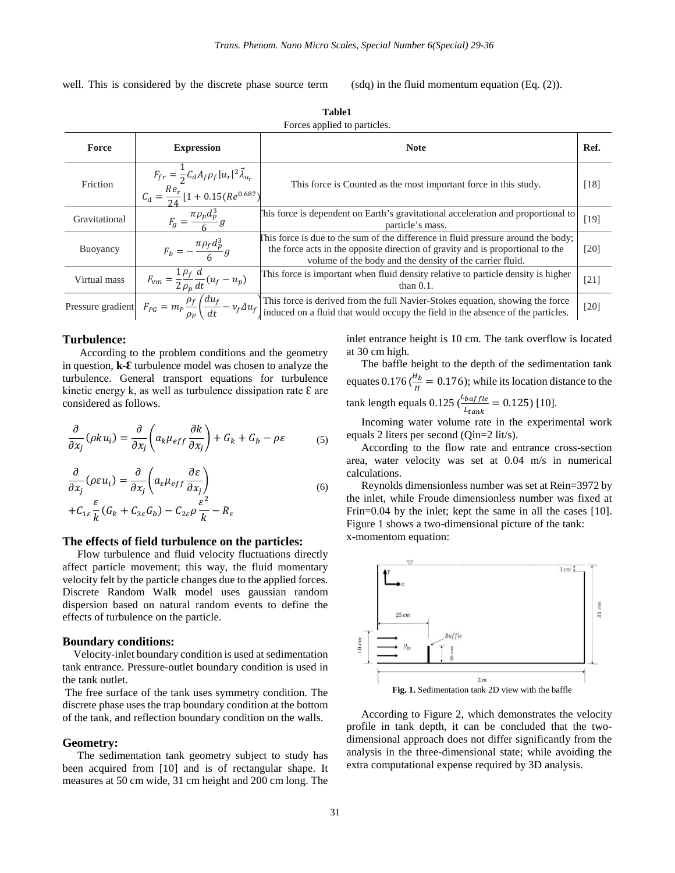well. This is considered by the discrete phase source term

(sdq) in the fluid momentum equation (Eq. (2)).

| Force         | <b>Expression</b>                                                                                                   | <b>Note</b>                                                                                                                                                                                                                     | Ref.   |
|---------------|---------------------------------------------------------------------------------------------------------------------|---------------------------------------------------------------------------------------------------------------------------------------------------------------------------------------------------------------------------------|--------|
| Friction      | $F_{fr} = \frac{1}{2} C_d A_f \rho_f  u_r ^2 \vec{\lambda}_{u_r}$<br>$C_d = \frac{Re_r}{24} [1 + 0.15(Re^{0.687})]$ | This force is Counted as the most important force in this study.                                                                                                                                                                | $[18]$ |
| Gravitational | $F_g = \frac{\pi \rho_p d_p^3}{\epsilon} g$                                                                         | This force is dependent on Earth's gravitational acceleration and proportional to<br>particle's mass.                                                                                                                           | $[19]$ |
| Buoyancy      | $F_b = -\frac{\pi \rho_f d_p^3}{\epsilon} g$                                                                        | This force is due to the sum of the difference in fluid pressure around the body;<br>the force acts in the opposite direction of gravity and is proportional to the<br>volume of the body and the density of the carrier fluid. | [20]   |
| Virtual mass  | $F_{\text{vm}} = \frac{1}{2} \frac{\rho_f}{\rho_p} \frac{d}{dt} (u_f - u_p)$                                        | This force is important when fluid density relative to particle density is higher<br>than $0.1$ .                                                                                                                               | $[21]$ |
|               | Pressure gradient $F_{PG} = m_P \frac{\rho_f}{\rho_o} \left( \frac{du_f}{dt} - v_f \Delta u_f \right)$              | This force is derived from the full Navier-Stokes equation, showing the force<br>induced on a fluid that would occupy the field in the absence of the particles.                                                                | [20]   |

**Table1** Forces applied to particles.

#### **Turbulence:**

According to the problem conditions and the geometry in question, **k-Ɛ** turbulence model was chosen to analyze the turbulence. General transport equations for turbulence kinetic energy k, as well as turbulence dissipation rate  $\epsilon$  are considered as follows.

$$
\frac{\partial}{\partial x_j}(\rho k u_i) = \frac{\partial}{\partial x_j} \left( a_k \mu_{eff} \frac{\partial k}{\partial x_j} \right) + G_k + G_b - \rho \varepsilon \tag{5}
$$

$$
\frac{\partial}{\partial x_j} (\rho \varepsilon u_i) = \frac{\partial}{\partial x_j} \left( a_\varepsilon \mu_{eff} \frac{\partial \varepsilon}{\partial x_j} \right) \n+ C_{1\varepsilon} \frac{\varepsilon}{k} (G_k + C_{3\varepsilon} G_b) - C_{2\varepsilon} \rho \frac{\varepsilon^2}{k} - R_\varepsilon
$$
\n(6)

# **The effects of field turbulence on the particles:**

Flow turbulence and fluid velocity fluctuations directly affect particle movement; this way, the fluid momentary velocity felt by the particle changes due to the applied forces. Discrete Random Walk model uses gaussian random dispersion based on natural random events to define the effects of turbulence on the particle.

#### **Boundary conditions:**

 Velocity-inlet boundary condition is used at sedimentation tank entrance. Pressure-outlet boundary condition is used in the tank outlet.

The free surface of the tank uses symmetry condition. The discrete phase uses the trap boundary condition at the bottom of the tank, and reflection boundary condition on the walls.

#### **Geometry:**

The sedimentation tank geometry subject to study has been acquired from [10] and is of rectangular shape. It measures at 50 cm wide, 31 cm height and 200 cm long. The inlet entrance height is 10 cm. The tank overflow is located at 30 cm high.

The baffle height to the depth of the sedimentation tank equates 0.176 ( $\frac{H_b}{H}$  = 0.176); while its location distance to the tank length equals  $0.125 \left( \frac{L_{barf} l}{L_{tank}} \right) = 0.125$  [10].

Incoming water volume rate in the experimental work equals 2 liters per second (Qin=2 lit/s).

According to the flow rate and entrance cross-section area, water velocity was set at 0.04 m/s in numerical calculations.

Reynolds dimensionless number was set at Rein=3972 by the inlet, while Froude dimensionless number was fixed at Frin=0.04 by the inlet; kept the same in all the cases [10]. Figure 1 shows a two-dimensional picture of the tank: x-momentom equation:



According to Figure 2, which demonstrates the velocity profile in tank depth, it can be concluded that the twodimensional approach does not differ significantly from the analysis in the three-dimensional state; while avoiding the extra computational expense required by 3D analysis.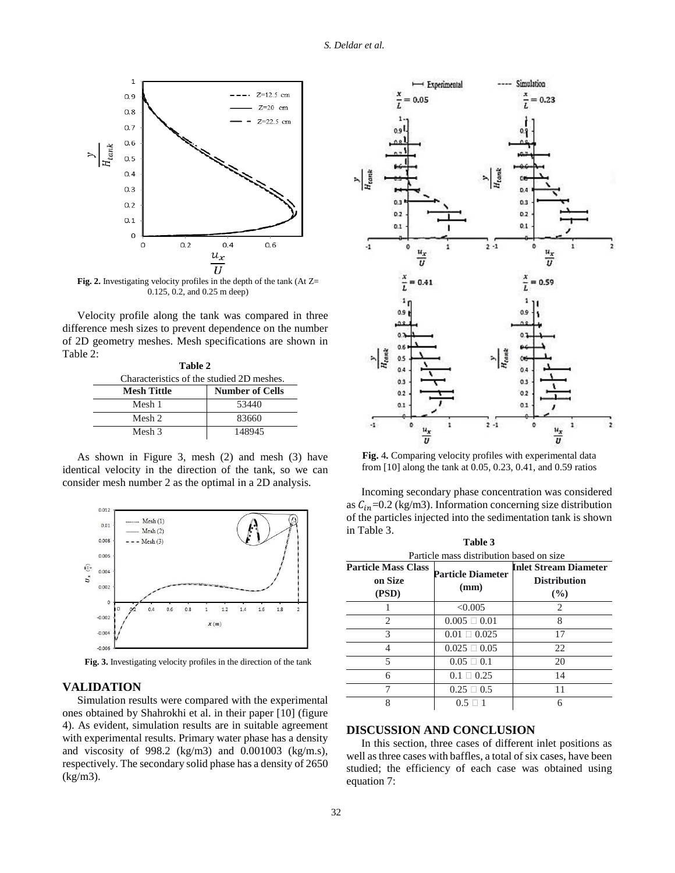

**Fig. 2.** Investigating velocity profiles in the depth of the tank (At Z= 0.125, 0.2, and 0.25 m deep)

Velocity profile along the tank was compared in three difference mesh sizes to prevent dependence on the number of 2D geometry meshes. Mesh specifications are shown in Table 2:

| Table 2                                   |                        |  |  |  |
|-------------------------------------------|------------------------|--|--|--|
| Characteristics of the studied 2D meshes. |                        |  |  |  |
| <b>Mesh Tittle</b>                        | <b>Number of Cells</b> |  |  |  |
| Mesh 1                                    | 53440                  |  |  |  |
| Mesh 2                                    | 83660                  |  |  |  |
| Mesh 3                                    | 148945                 |  |  |  |

As shown in Figure 3, mesh (2) and mesh (3) have identical velocity in the direction of the tank, so we can consider mesh number 2 as the optimal in a 2D analysis.



**Fig. 3.** Investigating velocity profiles in the direction of the tank

#### **VALIDATION**

Simulation results were compared with the experimental ones obtained by Shahrokhi et al. in their paper [10] (figure 4). As evident, simulation results are in suitable agreement with experimental results. Primary water phase has a density and viscosity of 998.2 (kg/m3) and 0.001003 (kg/m.s), respectively. The secondary solid phase has a density of 2650 (kg/m3).



**Fig.** 4**.** Comparing velocity profiles with experimental data from [10] along the tank at 0.05, 0.23, 0.41, and 0.59 ratios

Incoming secondary phase concentration was considered as  $C_{in}$ =0.2 (kg/m3). Information concerning size distribution of the particles injected into the sedimentation tank is shown in Table 3.

**Table 3**

| таріє э                                  |                          |                              |  |  |  |  |
|------------------------------------------|--------------------------|------------------------------|--|--|--|--|
| Particle mass distribution based on size |                          |                              |  |  |  |  |
| <b>Particle Mass Class</b>               | <b>Particle Diameter</b> | <b>Inlet Stream Diameter</b> |  |  |  |  |
| on Size                                  | (mm)                     | <b>Distribution</b>          |  |  |  |  |
| (PSD)                                    |                          | $($ %)                       |  |  |  |  |
|                                          | < 0.005                  | 2                            |  |  |  |  |
| $\mathcal{D}_{\mathcal{L}}$              | $0.005 \square 0.01$     | 8                            |  |  |  |  |
| 3                                        | $0.01 \square 0.025$     | 17                           |  |  |  |  |
|                                          | $0.025 \square 0.05$     | 22                           |  |  |  |  |
| 5                                        | $0.05 \square 0.1$       | 20                           |  |  |  |  |
| 6                                        | $0.1 \square 0.25$       | 14                           |  |  |  |  |
|                                          | $0.25 \square 0.5$       | 11                           |  |  |  |  |
| 8                                        | $0.5 \square$ 1          | 6                            |  |  |  |  |

## **DISCUSSION AND CONCLUSION**

In this section, three cases of different inlet positions as well as three cases with baffles, a total of six cases, have been studied; the efficiency of each case was obtained using equation 7: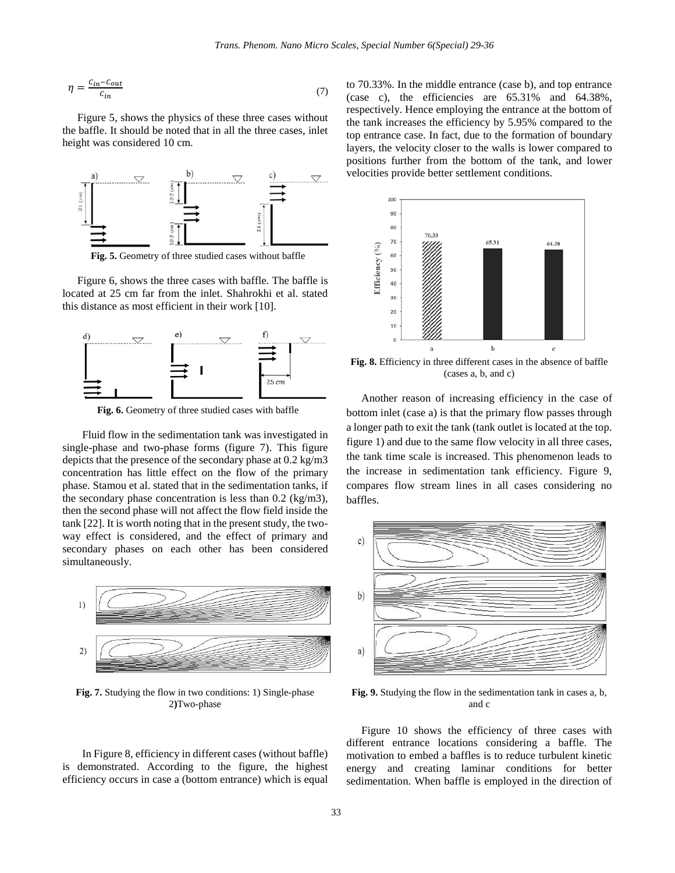$$
\eta = \frac{c_{in} - c_{out}}{c_{in}} \tag{7}
$$

Figure 5, shows the physics of these three cases without the baffle. It should be noted that in all the three cases, inlet height was considered 10 cm.



**Fig. 5.** Geometry of three studied cases without baffle

Figure 6, shows the three cases with baffle. The baffle is located at 25 cm far from the inlet. Shahrokhi et al. stated this distance as most efficient in their work [10].



**Fig. 6.** Geometry of three studied cases with baffle

Fluid flow in the sedimentation tank was investigated in single-phase and two-phase forms (figure 7). This figure depicts that the presence of the secondary phase at 0.2 kg/m3 concentration has little effect on the flow of the primary phase. Stamou et al. stated that in the sedimentation tanks, if the secondary phase concentration is less than 0.2 (kg/m3), then the second phase will not affect the flow field inside the tank [22]. It is worth noting that in the present study, the twoway effect is considered, and the effect of primary and secondary phases on each other has been considered simultaneously.



**Fig. 7.** Studying the flow in two conditions: 1) Single-phase 2**)**Two-phase

In Figure 8, efficiency in different cases (without baffle) is demonstrated. According to the figure, the highest efficiency occurs in case a (bottom entrance) which is equal to 70.33%. In the middle entrance (case b), and top entrance (case c), the efficiencies are 65.31% and 64.38%, respectively. Hence employing the entrance at the bottom of the tank increases the efficiency by 5.95% compared to the top entrance case. In fact, due to the formation of boundary layers, the velocity closer to the walls is lower compared to positions further from the bottom of the tank, and lower velocities provide better settlement conditions.



**Fig. 8.** Efficiency in three different cases in the absence of baffle (cases a, b, and c)

Another reason of increasing efficiency in the case of bottom inlet (case a) is that the primary flow passes through a longer path to exit the tank (tank outlet is located at the top. figure 1) and due to the same flow velocity in all three cases, the tank time scale is increased. This phenomenon leads to the increase in sedimentation tank efficiency. Figure 9, compares flow stream lines in all cases considering no baffles.



**Fig. 9.** Studying the flow in the sedimentation tank in cases a, b, and c

Figure 10 shows the efficiency of three cases with different entrance locations considering a baffle. The motivation to embed a baffles is to reduce turbulent kinetic energy and creating laminar conditions for better sedimentation. When baffle is employed in the direction of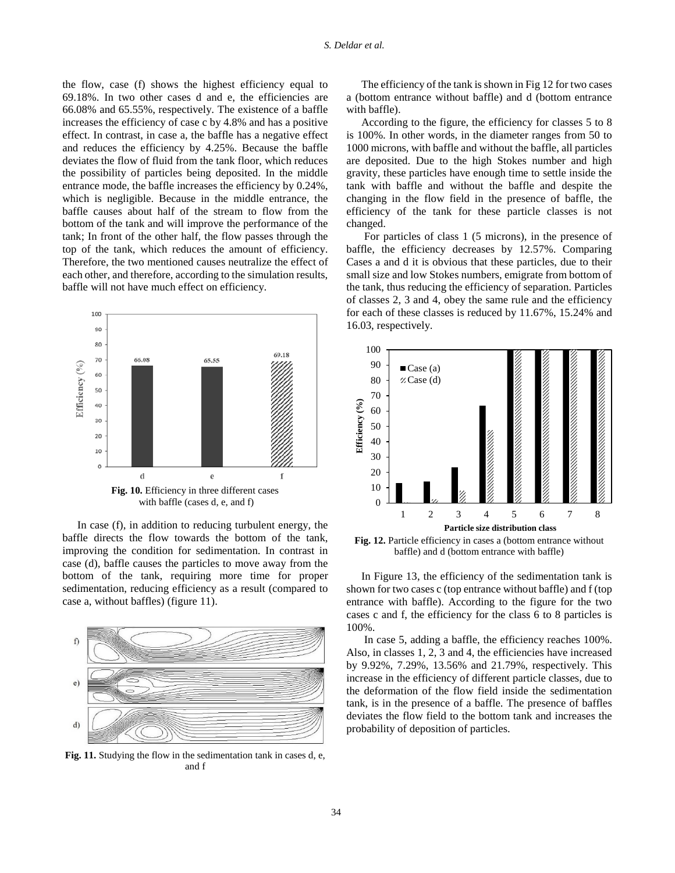the flow, case (f) shows the highest efficiency equal to 69.18%. In two other cases d and e, the efficiencies are 66.08% and 65.55%, respectively. The existence of a baffle increases the efficiency of case c by 4.8% and has a positive effect. In contrast, in case a, the baffle has a negative effect and reduces the efficiency by 4.25%. Because the baffle deviates the flow of fluid from the tank floor, which reduces the possibility of particles being deposited. In the middle entrance mode, the baffle increases the efficiency by 0.24%, which is negligible. Because in the middle entrance, the baffle causes about half of the stream to flow from the bottom of the tank and will improve the performance of the tank; In front of the other half, the flow passes through the top of the tank, which reduces the amount of efficiency. Therefore, the two mentioned causes neutralize the effect of each other, and therefore, according to the simulation results, baffle will not have much effect on efficiency.



In case (f), in addition to reducing turbulent energy, the baffle directs the flow towards the bottom of the tank, improving the condition for sedimentation. In contrast in case (d), baffle causes the particles to move away from the bottom of the tank, requiring more time for proper sedimentation, reducing efficiency as a result (compared to case a, without baffles) (figure 11).



**Fig. 11.** Studying the flow in the sedimentation tank in cases d, e, and f

The efficiency of the tank is shown in Fig 12 for two cases a (bottom entrance without baffle) and d (bottom entrance with baffle).

According to the figure, the efficiency for classes 5 to 8 is 100%. In other words, in the diameter ranges from 50 to 1000 microns, with baffle and without the baffle, all particles are deposited. Due to the high Stokes number and high gravity, these particles have enough time to settle inside the tank with baffle and without the baffle and despite the changing in the flow field in the presence of baffle, the efficiency of the tank for these particle classes is not changed.

For particles of class 1 (5 microns), in the presence of baffle, the efficiency decreases by 12.57%. Comparing Cases a and d it is obvious that these particles, due to their small size and low Stokes numbers, emigrate from bottom of the tank, thus reducing the efficiency of separation. Particles of classes 2, 3 and 4, obey the same rule and the efficiency for each of these classes is reduced by 11.67%, 15.24% and 16.03, respectively.



**Fig. 12.** Particle efficiency in cases a (bottom entrance without baffle) and d (bottom entrance with baffle)

In Figure 13, the efficiency of the sedimentation tank is shown for two cases c (top entrance without baffle) and f (top entrance with baffle). According to the figure for the two cases c and f, the efficiency for the class 6 to 8 particles is 100%.

In case 5, adding a baffle, the efficiency reaches 100%. Also, in classes 1, 2, 3 and 4, the efficiencies have increased by 9.92%, 7.29%, 13.56% and 21.79%, respectively. This increase in the efficiency of different particle classes, due to the deformation of the flow field inside the sedimentation tank, is in the presence of a baffle. The presence of baffles deviates the flow field to the bottom tank and increases the probability of deposition of particles.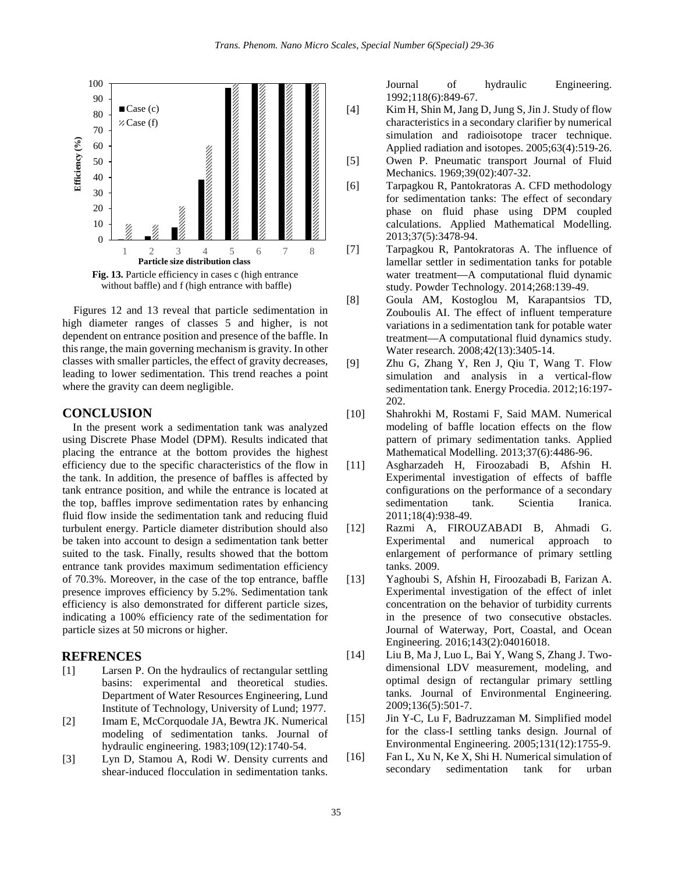

 Figures 12 and 13 reveal that particle sedimentation in high diameter ranges of classes 5 and higher, is not dependent on entrance position and presence of the baffle. In this range, the main governing mechanism is gravity. In other classes with smaller particles, the effect of gravity decreases, leading to lower sedimentation. This trend reaches a point where the gravity can deem negligible.

# **CONCLUSION**

 In the present work a sedimentation tank was analyzed using Discrete Phase Model (DPM). Results indicated that placing the entrance at the bottom provides the highest efficiency due to the specific characteristics of the flow in the tank. In addition, the presence of baffles is affected by tank entrance position, and while the entrance is located at the top, baffles improve sedimentation rates by enhancing fluid flow inside the sedimentation tank and reducing fluid turbulent energy. Particle diameter distribution should also be taken into account to design a sedimentation tank better suited to the task. Finally, results showed that the bottom entrance tank provides maximum sedimentation efficiency of 70.3%. Moreover, in the case of the top entrance, baffle presence improves efficiency by 5.2%. Sedimentation tank efficiency is also demonstrated for different particle sizes, indicating a 100% efficiency rate of the sedimentation for particle sizes at 50 microns or higher.

#### **REFRENCES**

- [1] Larsen P. On the hydraulics of rectangular settling basins: experimental and theoretical studies. Department of Water Resources Engineering, Lund Institute of Technology, University of Lund; 1977.
- [2] Imam E, McCorquodale JA, Bewtra JK. Numerical modeling of sedimentation tanks. Journal of hydraulic engineering. 1983;109(12):1740-54.
- [3] Lyn D, Stamou A, Rodi W. Density currents and shear-induced flocculation in sedimentation tanks.

Journal of hydraulic Engineering. 1992;118(6):849-67.

- [4] Kim H, Shin M, Jang D, Jung S, Jin J. Study of flow characteristics in a secondary clarifier by numerical simulation and radioisotope tracer technique. Applied radiation and isotopes. 2005;63(4):519-26.
- [5] Owen P. Pneumatic transport Journal of Fluid Mechanics. 1969;39(02):407-32.
- [6] Tarpagkou R, Pantokratoras A. CFD methodology for sedimentation tanks: The effect of secondary phase on fluid phase using DPM coupled calculations. Applied Mathematical Modelling. 2013;37(5):3478-94.
- [7] Tarpagkou R, Pantokratoras A. The influence of lamellar settler in sedimentation tanks for potable water treatment—A computational fluid dynamic study. Powder Technology. 2014;268:139-49.
- [8] Goula AM, Kostoglou M, Karapantsios TD, Zouboulis AI. The effect of influent temperature variations in a sedimentation tank for potable water treatment—A computational fluid dynamics study. Water research. 2008;42(13):3405-14.
- [9] Zhu G, Zhang Y, Ren J, Qiu T, Wang T. Flow simulation and analysis in a vertical-flow sedimentation tank. Energy Procedia. 2012;16:197- 202.
- [10] Shahrokhi M, Rostami F, Said MAM. Numerical modeling of baffle location effects on the flow pattern of primary sedimentation tanks. Applied Mathematical Modelling. 2013;37(6):4486-96.
- [11] Asgharzadeh H, Firoozabadi B, Afshin H. Experimental investigation of effects of baffle configurations on the performance of a secondary sedimentation tank. Scientia Iranica. 2011;18(4):938-49.
- [12] Razmi A, FIROUZABADI B, Ahmadi G. Experimental and numerical approach to enlargement of performance of primary settling tanks. 2009.
- [13] Yaghoubi S, Afshin H, Firoozabadi B, Farizan A. Experimental investigation of the effect of inlet concentration on the behavior of turbidity currents in the presence of two consecutive obstacles. Journal of Waterway, Port, Coastal, and Ocean Engineering. 2016;143(2):04016018.
- [14] Liu B, Ma J, Luo L, Bai Y, Wang S, Zhang J. Twodimensional LDV measurement, modeling, and optimal design of rectangular primary settling tanks. Journal of Environmental Engineering. 2009;136(5):501-7.
- [15] Jin Y-C, Lu F, Badruzzaman M. Simplified model for the class-I settling tanks design. Journal of Environmental Engineering. 2005;131(12):1755-9.
- [16] Fan L, Xu N, Ke X, Shi H. Numerical simulation of secondary sedimentation tank for urban